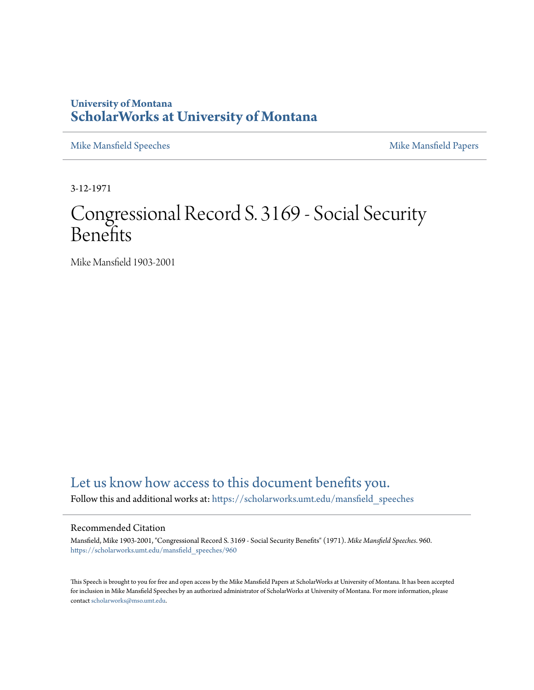## **University of Montana [ScholarWorks at University of Montana](https://scholarworks.umt.edu?utm_source=scholarworks.umt.edu%2Fmansfield_speeches%2F960&utm_medium=PDF&utm_campaign=PDFCoverPages)**

[Mike Mansfield Speeches](https://scholarworks.umt.edu/mansfield_speeches?utm_source=scholarworks.umt.edu%2Fmansfield_speeches%2F960&utm_medium=PDF&utm_campaign=PDFCoverPages) **[Mike Mansfield Papers](https://scholarworks.umt.edu/mike_mansfield_papers?utm_source=scholarworks.umt.edu%2Fmansfield_speeches%2F960&utm_medium=PDF&utm_campaign=PDFCoverPages)** Mike Mansfield Papers

3-12-1971

## Congressional Record S. 3169 - Social Security Benefits

Mike Mansfield 1903-2001

## [Let us know how access to this document benefits you.](https://goo.gl/forms/s2rGfXOLzz71qgsB2)

Follow this and additional works at: [https://scholarworks.umt.edu/mansfield\\_speeches](https://scholarworks.umt.edu/mansfield_speeches?utm_source=scholarworks.umt.edu%2Fmansfield_speeches%2F960&utm_medium=PDF&utm_campaign=PDFCoverPages)

## Recommended Citation

Mansfield, Mike 1903-2001, "Congressional Record S. 3169 - Social Security Benefits" (1971). *Mike Mansfield Speeches*. 960. [https://scholarworks.umt.edu/mansfield\\_speeches/960](https://scholarworks.umt.edu/mansfield_speeches/960?utm_source=scholarworks.umt.edu%2Fmansfield_speeches%2F960&utm_medium=PDF&utm_campaign=PDFCoverPages)

This Speech is brought to you for free and open access by the Mike Mansfield Papers at ScholarWorks at University of Montana. It has been accepted for inclusion in Mike Mansfield Speeches by an authorized administrator of ScholarWorks at University of Montana. For more information, please contact [scholarworks@mso.umt.edu.](mailto:scholarworks@mso.umt.edu)